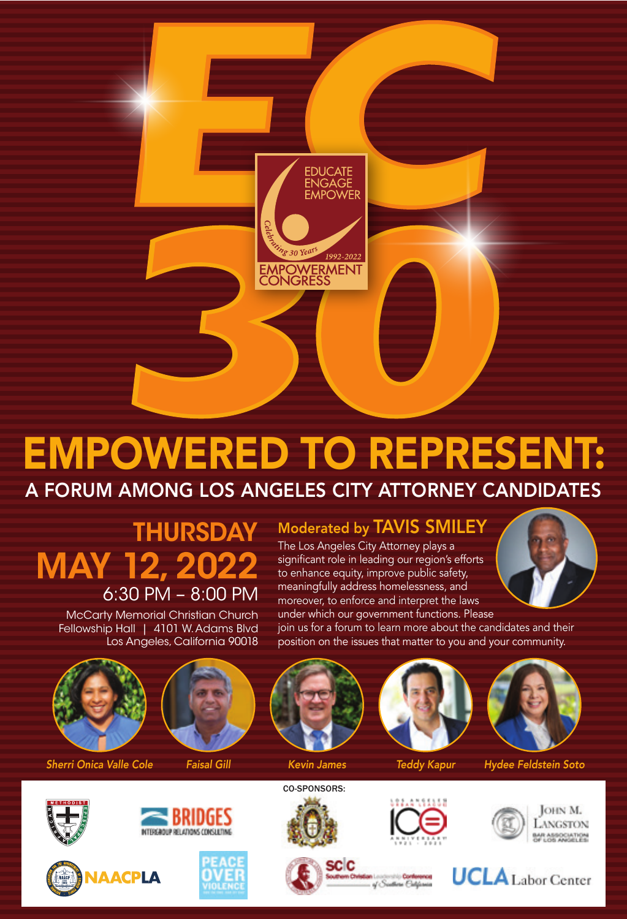

# EMPOWERED TO REPRESENT: A FORUM AMONG LOS ANGELES CITY ATTORNEY CANDIDATES

## **THURSDAY** MAY 12, 2022 6:30 PM – 8:00 PM

McCarty Memorial Christian Church Fellowship Hall | 4101 W. Adams Blvd Los Angeles, California 90018

### Moderated by TAVIS SMILEY

The Los Angeles City Attorney plays a significant role in leading our region's efforts to enhance equity, improve public safety, meaningfully address homelessness, and moreover, to enforce and interpret the laws under which our government functions. Please



join us for a forum to learn more about the candidates and their position on the issues that matter to you and your community.







*Sherri Onica Valle Cole Faisal Gill Kevin James Teddy Kapur Hydee Feldstein Soto*











sc c









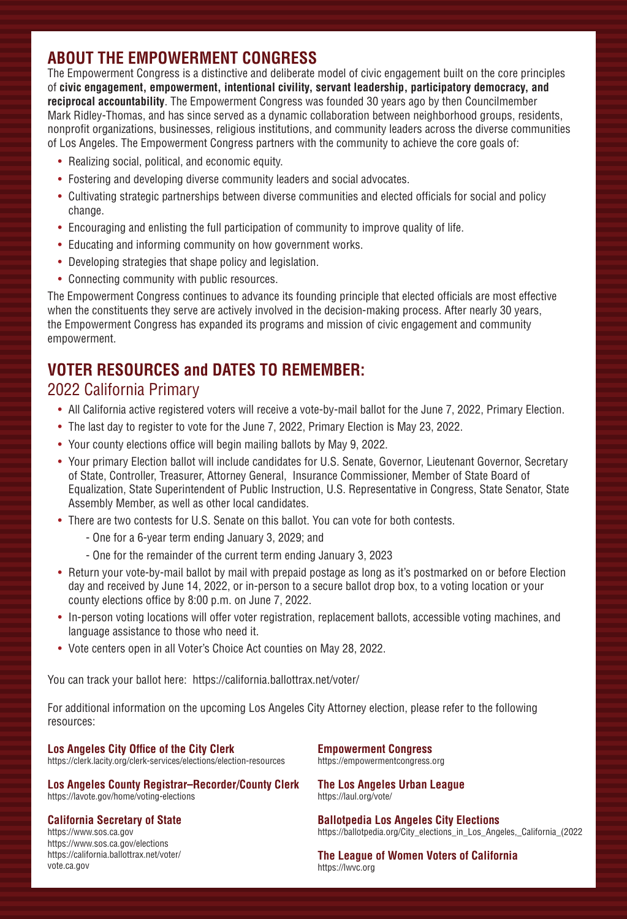#### **ABOUT THE EMPOWERMENT CONGRESS**

The Empowerment Congress is a distinctive and deliberate model of civic engagement built on the core principles of **civic engagement, empowerment, intentional civility, servant leadership, participatory democracy, and reciprocal accountability**. The Empowerment Congress was founded 30 years ago by then Councilmember Mark Ridley-Thomas, and has since served as a dynamic collaboration between neighborhood groups, residents, nonprofit organizations, businesses, religious institutions, and community leaders across the diverse communities of Los Angeles. The Empowerment Congress partners with the community to achieve the core goals of:

- Realizing social, political, and economic equity.
- Fostering and developing diverse community leaders and social advocates.
- Cultivating strategic partnerships between diverse communities and elected officials for social and policy change.
- Encouraging and enlisting the full participation of community to improve quality of life.
- Educating and informing community on how government works.
- Developing strategies that shape policy and legislation.
- Connecting community with public resources.

The Empowerment Congress continues to advance its founding principle that elected officials are most effective when the constituents they serve are actively involved in the decision-making process. After nearly 30 years, the Empowerment Congress has expanded its programs and mission of civic engagement and community empowerment.

#### **VOTER RESOURCES and DATES TO REMEMBER:** 2022 California Primary

- All California active registered voters will receive a vote-by-mail ballot for the June 7, 2022, Primary Election.
- The last day to register to vote for the June 7, 2022, Primary Election is May 23, 2022.
- Your county elections office will begin mailing ballots by May 9, 2022.
- Your primary Election ballot will include candidates for U.S. Senate, Governor, Lieutenant Governor, Secretary of State, Controller, Treasurer, Attorney General, Insurance Commissioner, Member of State Board of Equalization, State Superintendent of Public Instruction, U.S. Representative in Congress, State Senator, State Assembly Member, as well as other local candidates.
- There are two contests for U.S. Senate on this ballot. You can vote for both contests.
	- One for a 6-year term ending January 3, 2029; and
	- One for the remainder of the current term ending January 3, 2023
- Return your vote-by-mail ballot by mail with prepaid postage as long as it's postmarked on or before Election day and received by June 14, 2022, or in-person to a secure ballot drop box, to a voting location or your county elections office by 8:00 p.m. on June 7, 2022.
- In-person voting locations will offer voter registration, replacement ballots, accessible voting machines, and language assistance to those who need it.
- Vote centers open in all Voter's Choice Act counties on May 28, 2022.

You can track your ballot here: https://california.ballottrax.net/voter/

For additional information on the upcoming Los Angeles City Attorney election, please refer to the following resources:

**Los Angeles City Office of the City Clerk**  https://clerk.lacity.org/clerk-services/elections/election-resources

**Los Angeles County Registrar–Recorder/County Clerk**  https://lavote.gov/home/voting-elections

#### **California Secretary of State**

https://www.sos.ca.gov https://www.sos.ca.gov/elections https://california.ballottrax.net/voter/ vote.ca.gov

**Empowerment Congress**  https://empowermentcongress.org

**The Los Angeles Urban League**  https://laul.org/vote/

**Ballotpedia Los Angeles City Elections**  https://ballotpedia.org/City\_elections\_in\_Los\_Angeles,\_California\_(2022

**The League of Women Voters of California**  https://lwvc.org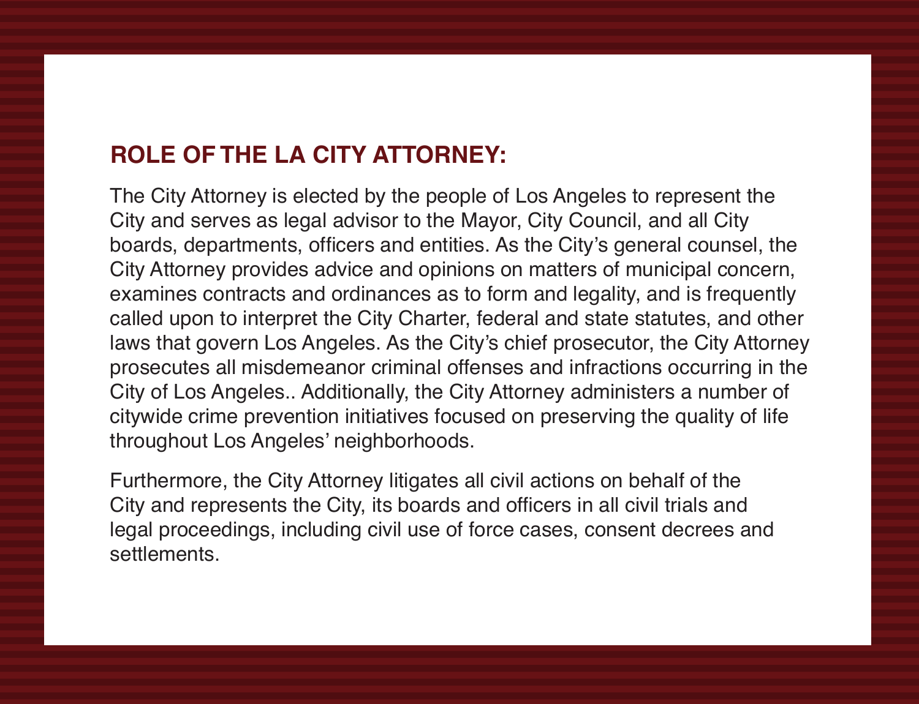#### **ROLE OF THE LA CITY ATTORNEY:**

The City Attorney is elected by the people of Los Angeles to represent the City and serves as legal advisor to the Mayor, City Council, and all City boards, departments, officers and entities. As the City's general counsel, the City Attorney provides advice and opinions on matters of municipal concern, examines contracts and ordinances as to form and legality, and is frequently called upon to interpret the City Charter, federal and state statutes, and other laws that govern Los Angeles. As the City's chief prosecutor, the City Attorney prosecutes all misdemeanor criminal offenses and infractions occurring in the City of Los Angeles.. Additionally, the City Attorney administers a number of citywide crime prevention initiatives focused on preserving the quality of life throughout Los Angeles' neighborhoods.

Furthermore, the City Attorney litigates all civil actions on behalf of the City and represents the City, its boards and officers in all civil trials and legal proceedings, including civil use of force cases, consent decrees and settlements.